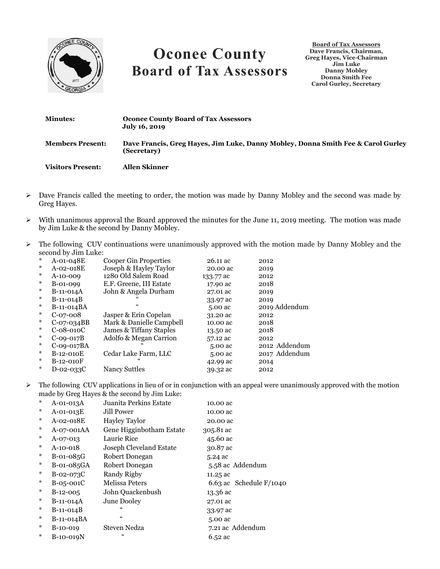

## **Oconee County Board of Tax Assessors**

**Board of Tax Assessors Dave Francis, Chairman, Greg Hayes, Vice-Chairman Jim Luke Danny Mobley Donna Smith Fee Carol Gurley, Secretary**

| <b>Minutes:</b>          | <b>Oconee County Board of Tax Assessors</b><br>July 16, 2019                                    |
|--------------------------|-------------------------------------------------------------------------------------------------|
| <b>Members Present:</b>  | Dave Francis, Greg Hayes, Jim Luke, Danny Mobley, Donna Smith Fee & Carol Gurley<br>(Secretary) |
| <b>Visitors Present:</b> | Allen Skinner                                                                                   |

- $\triangleright$  Dave Francis called the meeting to order, the motion was made by Danny Mobley and the second was made by Greg Hayes.
- $\triangleright$  With unanimous approval the Board approved the minutes for the June 11, 2019 meeting. The motion was made by Jim Luke & the second by Danny Mobley.
- $\triangleright$  The following CUV continuations were unanimously approved with the motion made by Danny Mobley and the second by Jim Luke:

| $*$    | $A$ -01-048 $E$ | Cooper Gin Properties    | 26.11 ac  | 2012          |
|--------|-----------------|--------------------------|-----------|---------------|
| ⋇      | A-02-018E       | Joseph & Hayley Taylor   | 20.00 ac  | 2019          |
| $\ast$ | $A-10-009$      | 1280 Old Salem Road      | 133.77 ac | 2012          |
| ∗      | $B-01-099$      | E.F. Greene, III Estate  | 17.90 ac  | 2018          |
| ∗      | $B-11-014A$     | John & Angela Durham     | 27.01 ac  | 2019          |
| ∗      | $B-11-014B$     |                          | 33.97 ac  | 2019          |
| ⋇      | B-11-014BA      |                          | 5.00 ac   | 2019 Addendum |
| ∗      | $C-07-008$      | Jasper & Erin Copelan    | 31.20 ac  | 2012          |
| ∗      | $C-07-034BB$    | Mark & Danielle Campbell | 10.00 ac  | 2018          |
| ⋇      | $C-08-010C$     | James & Tiffany Staples  | 13.50 ac  | 2018          |
| ∗      | $C$ -09-017 $B$ | Adolfo & Megan Carrion   | 57.12 ac  | 2012          |
| $*$    | $C-09-017BA$    |                          | 5.00 ac   | 2012 Addendum |
| ⋇      | B-12-010E       | Cedar Lake Farm, LLC     | 5.00 ac   | 2017 Addendum |
| ∗      | $B-12-010F$     |                          | 42.99 ac  | 2014          |
| ∗      | D-02-033C       | Nancy Suttles            | 39.32 ac  | 2012          |
|        |                 |                          |           |               |

 $\triangleright$  The following CUV applications in lieu of or in conjunction with an appeal were unanimously approved with the motion made by Greg Hayes & the second by Jim Luke:

| $*$ | $A$ -01-013 $A$ | Juanita Perkins Estate   | 10.00 ac                  |
|-----|-----------------|--------------------------|---------------------------|
| $*$ | A-01-013E       | Jill Power               | 10.00 ac                  |
| ∗   | A-02-018E       | <b>Hayley Taylor</b>     | 20.00 ac                  |
| ∗   | A-07-001AA      | Gene Higginbotham Estate | 305.81 ac                 |
| ∗   | $A-07-013$      | Laurie Rice              | 45.60 ac                  |
| ∗   | A-10-018        | Joseph Cleveland Estate  | 30.87 ac                  |
| ∗   | $B-01-085G$     | Robert Donegan           | 5.24 ac                   |
| ∗   | B-01-085GA      | Robert Donegan           | 5.58 ac Addendum          |
| ∗   | $B$ -02-073 $C$ | Randy Rigby              | 11.25 ac                  |
| ∗   | $B-05-001C$     | Melissa Peters           | 6.63 ac Schedule $F/1040$ |
| ∗   | $B-12-005$      | John Quackenbush         | 13.36 ac                  |
| ∗   | $B-11-014A$     | June Dooley              | 27.01 ac                  |
| ∗   | $B-11-014B$     | 66                       | 33.97 ac                  |
| ∗   | $B-11-014BA$    | $\epsilon$               | 5.00 ac                   |
| ∗   | $B-10-019$      | <b>Steven Nedza</b>      | 7.21 ac Addendum          |
| ∗   | B-10-019N       | 66                       | 6.52 ac                   |